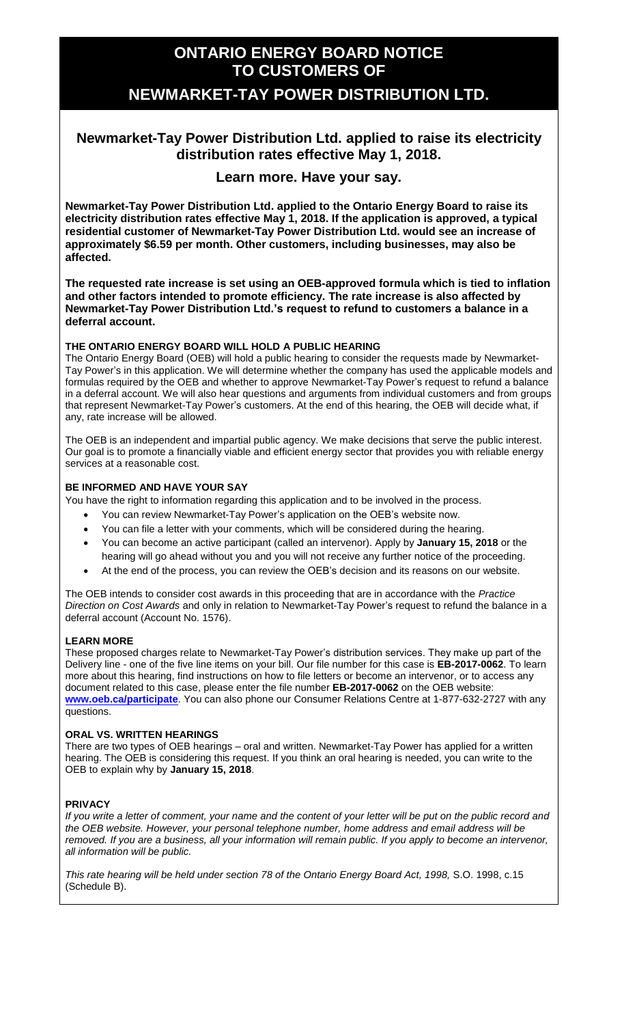# **ONTARIO ENERGY BOARD NOTICE TO CUSTOMERS OF**

## **NEWMARKET-TAY POWER DISTRIBUTION LTD.**

### **Newmarket-Tay Power Distribution Ltd. applied to raise its electricity distribution rates effective May 1, 2018.**

### **Learn more. Have your say.**

**Newmarket-Tay Power Distribution Ltd. applied to the Ontario Energy Board to raise its electricity distribution rates effective May 1, 2018. If the application is approved, a typical residential customer of Newmarket-Tay Power Distribution Ltd. would see an increase of approximately \$6.59 per month. Other customers, including businesses, may also be affected.**

**The requested rate increase is set using an OEB-approved formula which is tied to inflation and other factors intended to promote efficiency. The rate increase is also affected by Newmarket-Tay Power Distribution Ltd.'s request to refund to customers a balance in a deferral account.**

#### **THE ONTARIO ENERGY BOARD WILL HOLD A PUBLIC HEARING**

The Ontario Energy Board (OEB) will hold a public hearing to consider the requests made by Newmarket-Tay Power's in this application. We will determine whether the company has used the applicable models and formulas required by the OEB and whether to approve Newmarket-Tay Power's request to refund a balance in a deferral account. We will also hear questions and arguments from individual customers and from groups that represent Newmarket-Tay Power's customers. At the end of this hearing, the OEB will decide what, if any, rate increase will be allowed.

The OEB is an independent and impartial public agency. We make decisions that serve the public interest. Our goal is to promote a financially viable and efficient energy sector that provides you with reliable energy services at a reasonable cost.

#### **BE INFORMED AND HAVE YOUR SAY**

You have the right to information regarding this application and to be involved in the process.

- You can review Newmarket-Tay Power's application on the OEB's website now.
- You can file a letter with your comments, which will be considered during the hearing.
- You can become an active participant (called an intervenor). Apply by **January 15, 2018** or the hearing will go ahead without you and you will not receive any further notice of the proceeding.
- At the end of the process, you can review the OEB's decision and its reasons on our website.

The OEB intends to consider cost awards in this proceeding that are in accordance with the *Practice Direction on Cost Awards* and only in relation to Newmarket-Tay Power's request to refund the balance in a deferral account (Account No. 1576).

#### **LEARN MORE**

These proposed charges relate to Newmarket-Tay Power's distribution services. They make up part of the Delivery line - one of the five line items on your bill. Our file number for this case is **EB-2017-0062**. To learn more about this hearing, find instructions on how to file letters or become an intervenor, or to access any document related to this case, please enter the file number **EB-2017-0062** on the OEB website: **[www.oeb.ca/participate](http://www.oeb.ca/participate)**. You can also phone our Consumer Relations Centre at 1-877-632-2727 with any questions.

#### **ORAL VS. WRITTEN HEARINGS**

There are two types of OEB hearings – oral and written. Newmarket-Tay Power has applied for a written hearing. The OEB is considering this request. If you think an oral hearing is needed, you can write to the OEB to explain why by **January 15, 2018**.

#### **PRIVACY**

*If you write a letter of comment, your name and the content of your letter will be put on the public record and the OEB website. However, your personal telephone number, home address and email address will be removed. If you are a business, all your information will remain public. If you apply to become an intervenor, all information will be public.* 

*This rate hearing will be held under section 78 of the Ontario Energy Board Act, 1998,* S.O. 1998, c.15 (Schedule B).